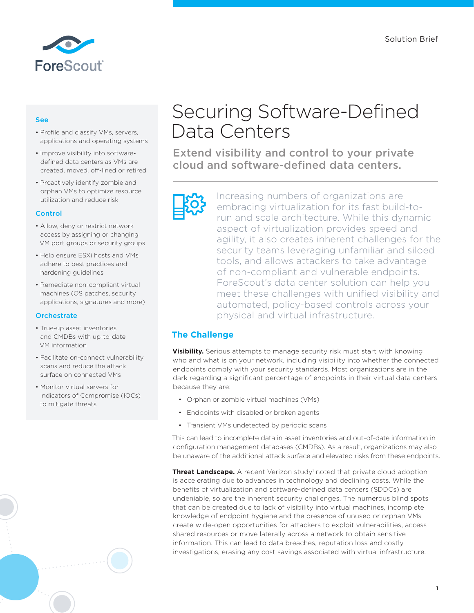

### See

- Profile and classify VMs, servers, applications and operating systems
- Improve visibility into softwaredefined data centers as VMs are created, moved, off-lined or retired
- Proactively identify zombie and orphan VMs to optimize resource utilization and reduce risk

#### **Control**

- Allow, deny or restrict network access by assigning or changing VM port groups or security groups
- Help ensure ESXi hosts and VMs adhere to best practices and hardening guidelines
- Remediate non-compliant virtual machines (OS patches, security applications, signatures and more)

#### **Orchestrate**

- True-up asset inventories and CMDBs with up-to-date VM information
- Facilitate on-connect vulnerability scans and reduce the attack surface on connected VMs
- Monitor virtual servers for Indicators of Compromise (IOCs) to mitigate threats

# Securing Software-Defined Data Centers

Extend visibility and control to your private cloud and software-defined data centers.

Increasing numbers of organizations are embracing virtualization for its fast build-torun and scale architecture. While this dynamic aspect of virtualization provides speed and agility, it also creates inherent challenges for the security teams leveraging unfamiliar and siloed tools, and allows attackers to take advantage of non-compliant and vulnerable endpoints. ForeScout's data center solution can help you meet these challenges with unified visibility and automated, policy-based controls across your physical and virtual infrastructure.

# **The Challenge**

**Visibility.** Serious attempts to manage security risk must start with knowing who and what is on your network, including visibility into whether the connected endpoints comply with your security standards. Most organizations are in the dark regarding a significant percentage of endpoints in their virtual data centers because they are:

- Orphan or zombie virtual machines (VMs)
- Endpoints with disabled or broken agents
- Transient VMs undetected by periodic scans

This can lead to incomplete data in asset inventories and out-of-date information in configuration management databases (CMDBs). As a result, organizations may also be unaware of the additional attack surface and elevated risks from these endpoints.

**Threat Landscape.** A recent Verizon study<sup>1</sup> noted that private cloud adoption is accelerating due to advances in technology and declining costs. While the benefits of virtualization and software-defined data centers (SDDCs) are undeniable, so are the inherent security challenges. The numerous blind spots that can be created due to lack of visibility into virtual machines, incomplete knowledge of endpoint hygiene and the presence of unused or orphan VMs create wide-open opportunities for attackers to exploit vulnerabilities, access shared resources or move laterally across a network to obtain sensitive information. This can lead to data breaches, reputation loss and costly investigations, erasing any cost savings associated with virtual infrastructure.

1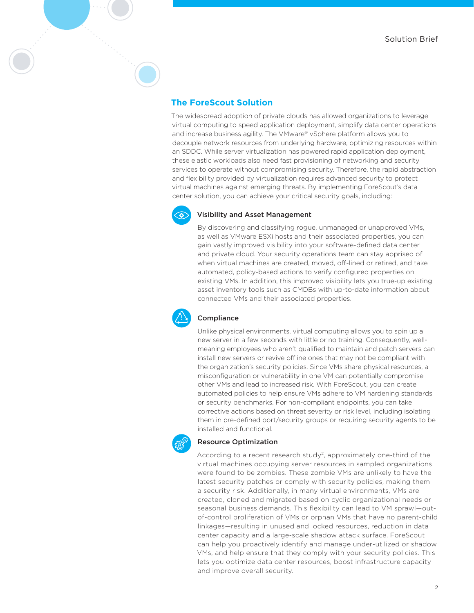# **The ForeScout Solution**

The widespread adoption of private clouds has allowed organizations to leverage virtual computing to speed application deployment, simplify data center operations and increase business agility. The VMware® vSphere platform allows you to decouple network resources from underlying hardware, optimizing resources within an SDDC. While server virtualization has powered rapid application deployment, these elastic workloads also need fast provisioning of networking and security services to operate without compromising security. Therefore, the rapid abstraction and flexibility provided by virtualization requires advanced security to protect virtual machines against emerging threats. By implementing ForeScout's data center solution, you can achieve your critical security goals, including:



#### Visibility and Asset Management

By discovering and classifying rogue, unmanaged or unapproved VMs, as well as VMware ESXi hosts and their associated properties, you can gain vastly improved visibility into your software-defined data center and private cloud. Your security operations team can stay apprised of when virtual machines are created, moved, off-lined or retired, and take automated, policy-based actions to verify configured properties on existing VMs. In addition, this improved visibility lets you true-up existing asset inventory tools such as CMDBs with up-to-date information about connected VMs and their associated properties.



#### Compliance

Unlike physical environments, virtual computing allows you to spin up a new server in a few seconds with little or no training. Consequently, wellmeaning employees who aren't qualified to maintain and patch servers can install new servers or revive offline ones that may not be compliant with the organization's security policies. Since VMs share physical resources, a misconfiguration or vulnerability in one VM can potentially compromise other VMs and lead to increased risk. With ForeScout, you can create automated policies to help ensure VMs adhere to VM hardening standards or security benchmarks. For non-compliant endpoints, you can take corrective actions based on threat severity or risk level, including isolating them in pre-defined port/security groups or requiring security agents to be installed and functional.



#### Resource Optimization

According to a recent research study<sup>2</sup>, approximately one-third of the virtual machines occupying server resources in sampled organizations were found to be zombies. These zombie VMs are unlikely to have the latest security patches or comply with security policies, making them a security risk. Additionally, in many virtual environments, VMs are created, cloned and migrated based on cyclic organizational needs or seasonal business demands. This flexibility can lead to VM sprawl—outof-control proliferation of VMs or orphan VMs that have no parent-child linkages—resulting in unused and locked resources, reduction in data center capacity and a large-scale shadow attack surface. ForeScout can help you proactively identify and manage under-utilized or shadow VMs, and help ensure that they comply with your security policies. This lets you optimize data center resources, boost infrastructure capacity and improve overall security.